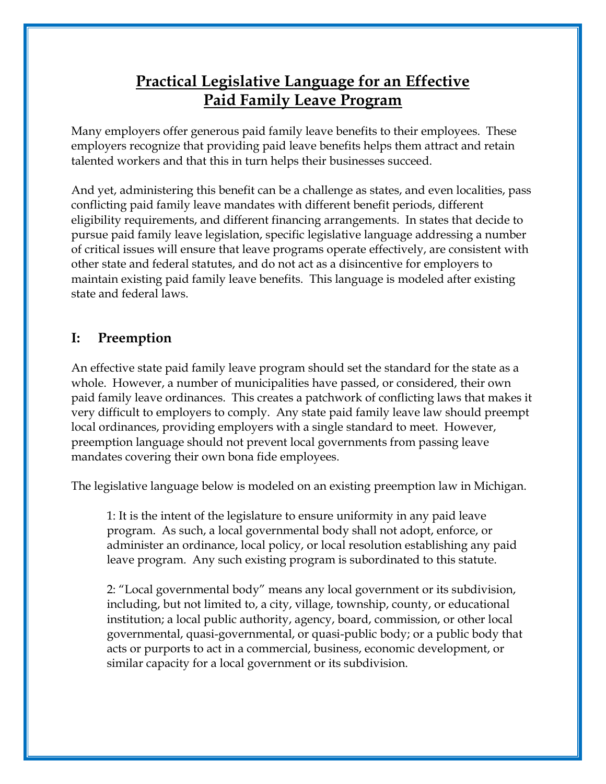# **Practical Legislative Language for an Effective Paid Family Leave Program**

Many employers offer generous paid family leave benefits to their employees. These employers recognize that providing paid leave benefits helps them attract and retain talented workers and that this in turn helps their businesses succeed.

And yet, administering this benefit can be a challenge as states, and even localities, pass conflicting paid family leave mandates with different benefit periods, different eligibility requirements, and different financing arrangements. In states that decide to pursue paid family leave legislation, specific legislative language addressing a number of critical issues will ensure that leave programs operate effectively, are consistent with other state and federal statutes, and do not act as a disincentive for employers to maintain existing paid family leave benefits. This language is modeled after existing state and federal laws.

### **I: Preemption**

An effective state paid family leave program should set the standard for the state as a whole. However, a number of municipalities have passed, or considered, their own paid family leave ordinances. This creates a patchwork of conflicting laws that makes it very difficult to employers to comply. Any state paid family leave law should preempt local ordinances, providing employers with a single standard to meet. However, preemption language should not prevent local governments from passing leave mandates covering their own bona fide employees.

The legislative language below is modeled on an existing preemption law in Michigan.

1: It is the intent of the legislature to ensure uniformity in any paid leave program. As such, a local governmental body shall not adopt, enforce, or administer an ordinance, local policy, or local resolution establishing any paid leave program. Any such existing program is subordinated to this statute.

2: "Local governmental body" means any local government or its subdivision, including, but not limited to, a city, village, township, county, or educational institution; a local public authority, agency, board, commission, or other local governmental, quasi-governmental, or quasi-public body; or a public body that acts or purports to act in a commercial, business, economic development, or similar capacity for a local government or its subdivision.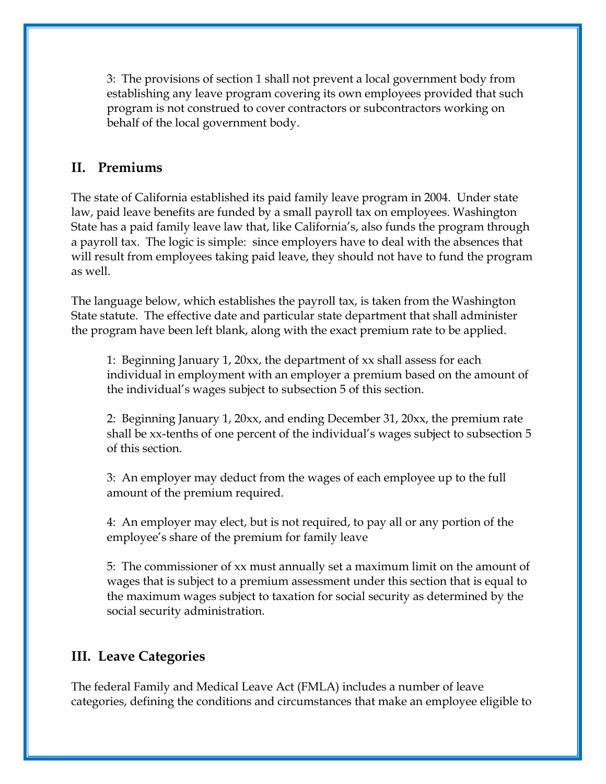3: The provisions of section 1 shall not prevent a local government body from establishing any leave program covering its own employees provided that such program is not construed to cover contractors or subcontractors working on behalf of the local government body.

### **II. Premiums**

The state of California established its paid family leave program in 2004. Under state law, paid leave benefits are funded by a small payroll tax on employees. Washington State has a paid family leave law that, like California's, also funds the program through a payroll tax. The logic is simple: since employers have to deal with the absences that will result from employees taking paid leave, they should not have to fund the program as well.

The language below, which establishes the payroll tax, is taken from the Washington State statute. The effective date and particular state department that shall administer the program have been left blank, along with the exact premium rate to be applied.

1: Beginning January 1, 20xx, the department of xx shall assess for each individual in employment with an employer a premium based on the amount of the individual's wages subject to subsection 5 of this section.

2: Beginning January 1, 20xx, and ending December 31, 20xx, the premium rate shall be xx-tenths of one percent of the individual's wages subject to subsection 5 of this section.

3: An employer may deduct from the wages of each employee up to the full amount of the premium required.

4: An employer may elect, but is not required, to pay all or any portion of the employee's share of the premium for family leave

5: The commissioner of xx must annually set a maximum limit on the amount of wages that is subject to a premium assessment under this section that is equal to the maximum wages subject to taxation for social security as determined by the social security administration.

### **III. Leave Categories**

The federal Family and Medical Leave Act (FMLA) includes a number of leave categories, defining the conditions and circumstances that make an employee eligible to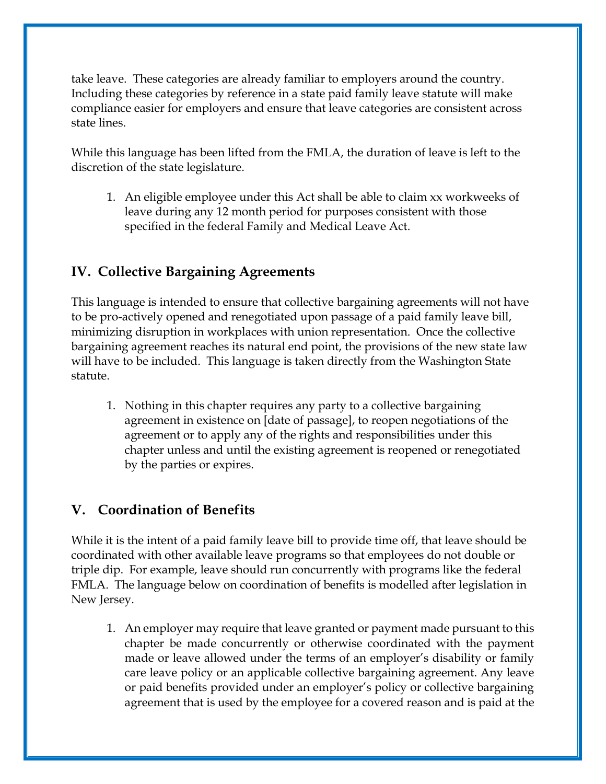take leave. These categories are already familiar to employers around the country. Including these categories by reference in a state paid family leave statute will make compliance easier for employers and ensure that leave categories are consistent across state lines.

While this language has been lifted from the FMLA, the duration of leave is left to the discretion of the state legislature.

1. An eligible employee under this Act shall be able to claim xx workweeks of leave during any 12 month period for purposes consistent with those specified in the federal Family and Medical Leave Act.

## **IV. Collective Bargaining Agreements**

This language is intended to ensure that collective bargaining agreements will not have to be pro-actively opened and renegotiated upon passage of a paid family leave bill, minimizing disruption in workplaces with union representation. Once the collective bargaining agreement reaches its natural end point, the provisions of the new state law will have to be included. This language is taken directly from the Washington State statute.

1. Nothing in this chapter requires any party to a collective bargaining agreement in existence on [date of passage], to reopen negotiations of the agreement or to apply any of the rights and responsibilities under this chapter unless and until the existing agreement is reopened or renegotiated by the parties or expires.

## **V. Coordination of Benefits**

While it is the intent of a paid family leave bill to provide time off, that leave should be coordinated with other available leave programs so that employees do not double or triple dip. For example, leave should run concurrently with programs like the federal FMLA. The language below on coordination of benefits is modelled after legislation in New Jersey.

1. An employer may require that leave granted or payment made pursuant to this chapter be made concurrently or otherwise coordinated with the payment made or leave allowed under the terms of an employer's disability or family care leave policy or an applicable collective bargaining agreement. Any leave or paid benefits provided under an employer's policy or collective bargaining agreement that is used by the employee for a covered reason and is paid at the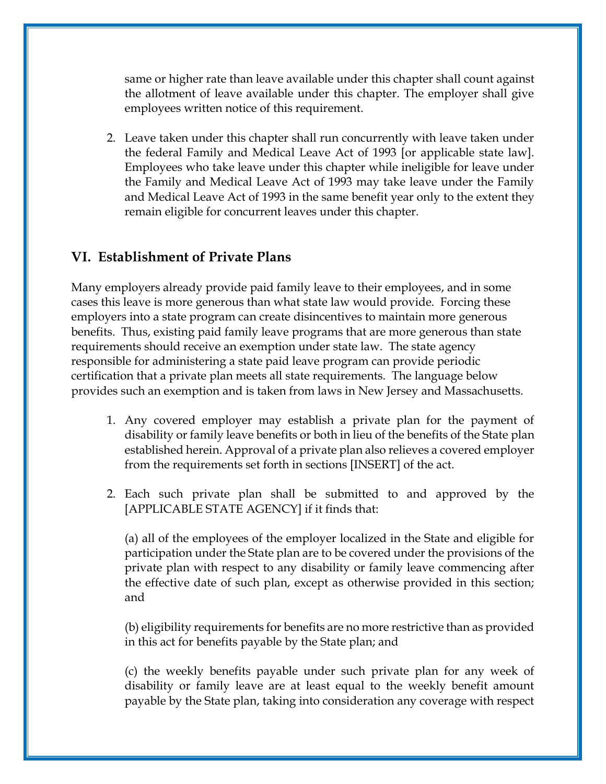same or higher rate than leave available under this chapter shall count against the allotment of leave available under this chapter. The employer shall give employees written notice of this requirement.

2. Leave taken under this chapter shall run concurrently with leave taken under the federal Family and Medical Leave Act of 1993 [or applicable state law]. Employees who take leave under this chapter while ineligible for leave under the Family and Medical Leave Act of 1993 may take leave under the Family and Medical Leave Act of 1993 in the same benefit year only to the extent they remain eligible for concurrent leaves under this chapter.

#### **VI. Establishment of Private Plans**

Many employers already provide paid family leave to their employees, and in some cases this leave is more generous than what state law would provide. Forcing these employers into a state program can create disincentives to maintain more generous benefits. Thus, existing paid family leave programs that are more generous than state requirements should receive an exemption under state law. The state agency responsible for administering a state paid leave program can provide periodic certification that a private plan meets all state requirements. The language below provides such an exemption and is taken from laws in New Jersey and Massachusetts.

- 1. Any covered employer may establish a private plan for the payment of disability or family leave benefits or both in lieu of the benefits of the State plan established herein. Approval of a private plan also relieves a covered employer from the requirements set forth in sections [INSERT] of the act.
- 2. Each such private plan shall be submitted to and approved by the [APPLICABLE STATE AGENCY] if it finds that:

(a) all of the employees of the employer localized in the State and eligible for participation under the State plan are to be covered under the provisions of the private plan with respect to any disability or family leave commencing after the effective date of such plan, except as otherwise provided in this section; and

(b) eligibility requirements for benefits are no more restrictive than as provided in this act for benefits payable by the State plan; and

(c) the weekly benefits payable under such private plan for any week of disability or family leave are at least equal to the weekly benefit amount payable by the State plan, taking into consideration any coverage with respect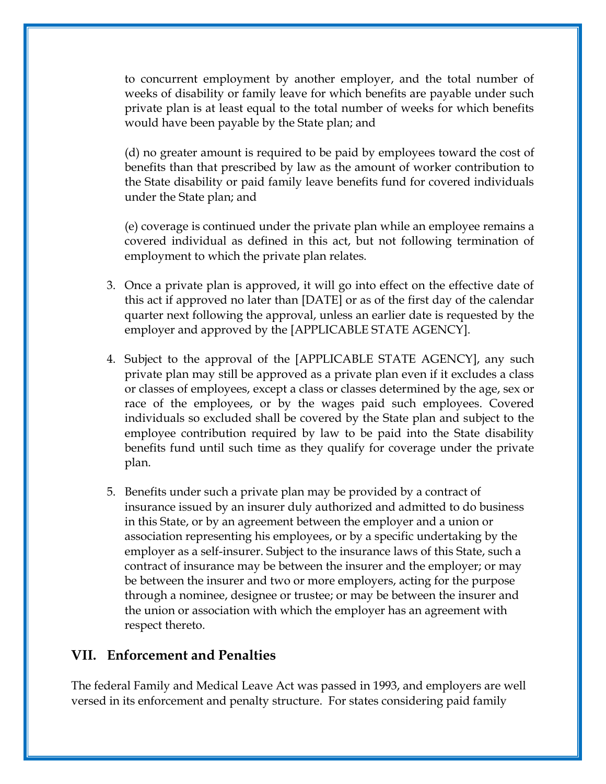to concurrent employment by another employer, and the total number of weeks of disability or family leave for which benefits are payable under such private plan is at least equal to the total number of weeks for which benefits would have been payable by the State plan; and

(d) no greater amount is required to be paid by employees toward the cost of benefits than that prescribed by law as the amount of worker contribution to the State disability or paid family leave benefits fund for covered individuals under the State plan; and

(e) coverage is continued under the private plan while an employee remains a covered individual as defined in this act, but not following termination of employment to which the private plan relates.

- 3. Once a private plan is approved, it will go into effect on the effective date of this act if approved no later than [DATE] or as of the first day of the calendar quarter next following the approval, unless an earlier date is requested by the employer and approved by the [APPLICABLE STATE AGENCY].
- 4. Subject to the approval of the [APPLICABLE STATE AGENCY], any such private plan may still be approved as a private plan even if it excludes a class or classes of employees, except a class or classes determined by the age, sex or race of the employees, or by the wages paid such employees. Covered individuals so excluded shall be covered by the State plan and subject to the employee contribution required by law to be paid into the State disability benefits fund until such time as they qualify for coverage under the private plan.
- 5. Benefits under such a private plan may be provided by a contract of insurance issued by an insurer duly authorized and admitted to do business in this State, or by an agreement between the employer and a union or association representing his employees, or by a specific undertaking by the employer as a self-insurer. Subject to the insurance laws of this State, such a contract of insurance may be between the insurer and the employer; or may be between the insurer and two or more employers, acting for the purpose through a nominee, designee or trustee; or may be between the insurer and the union or association with which the employer has an agreement with respect thereto.

#### **VII. Enforcement and Penalties**

The federal Family and Medical Leave Act was passed in 1993, and employers are well versed in its enforcement and penalty structure. For states considering paid family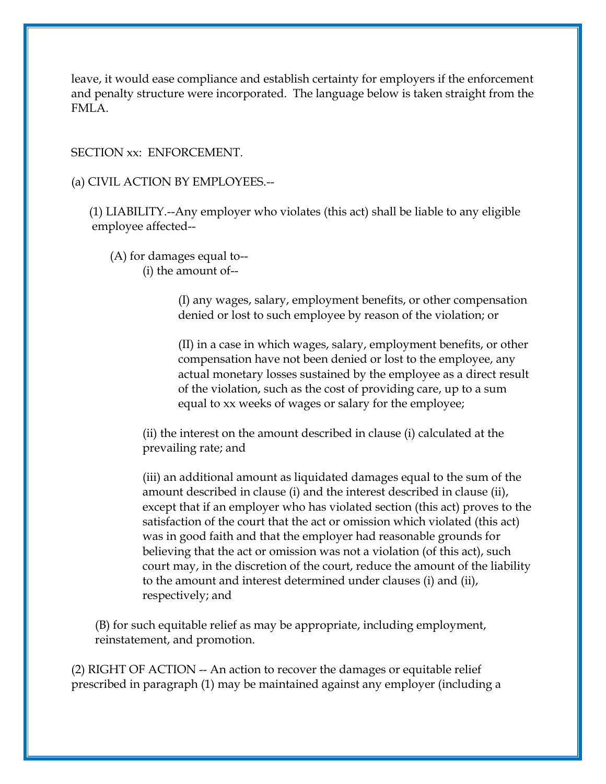leave, it would ease compliance and establish certainty for employers if the enforcement and penalty structure were incorporated. The language below is taken straight from the FMLA.

SECTION xx: ENFORCEMENT.

(a) CIVIL ACTION BY EMPLOYEES.--

 (1) LIABILITY.--Any employer who violates (this act) shall be liable to any eligible employee affected--

 (A) for damages equal to-- (i) the amount of--

> (I) any wages, salary, employment benefits, or other compensation denied or lost to such employee by reason of the violation; or

> (II) in a case in which wages, salary, employment benefits, or other compensation have not been denied or lost to the employee, any actual monetary losses sustained by the employee as a direct result of the violation, such as the cost of providing care, up to a sum equal to xx weeks of wages or salary for the employee;

(ii) the interest on the amount described in clause (i) calculated at the prevailing rate; and

(iii) an additional amount as liquidated damages equal to the sum of the amount described in clause (i) and the interest described in clause (ii), except that if an employer who has violated section (this act) proves to the satisfaction of the court that the act or omission which violated (this act) was in good faith and that the employer had reasonable grounds for believing that the act or omission was not a violation (of this act), such court may, in the discretion of the court, reduce the amount of the liability to the amount and interest determined under clauses (i) and (ii), respectively; and

(B) for such equitable relief as may be appropriate, including employment, reinstatement, and promotion.

(2) RIGHT OF ACTION -- An action to recover the damages or equitable relief prescribed in paragraph (1) may be maintained against any employer (including a